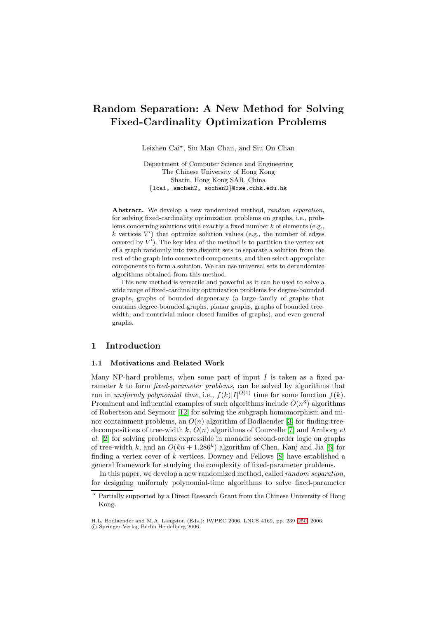# **Random Separation: A New Method for Solving Fixed-Cardinality Optimization Problems**

Leizhen Cai\*, Siu Man Chan, and Siu On Chan

Department of Computer Science and Engineering The Chinese University of Hong Kong Shatin, Hong Kong SAR, China {lcai, smchan2, sochan2}@cse.cuhk.edu.hk

Abstract. We develop a new randomized method, *random separation*, for solving fixed-cardinality optimization problems on graphs, i.e., problems concerning solutions with exactly a fixed number  $k$  of elements (e.g., k vertices  $V'$  that optimize solution values (e.g., the number of edges covered by  $V'$ ). The key idea of the method is to partition the vertex set of a graph randomly into two disjoint sets to separate a solution from the rest of the graph into connected components, and then select appropriate components to form a solution. We can use universal sets to derandomize algorithms obtained from this method.

This new method is versatile and powerful as it can be used to solve a wide range of fixed-cardinality optimization problems for degree-bounded graphs, graphs of bounded degeneracy (a large family of graphs that contains degree-bounded graphs, planar graphs, graphs of bounded treewidth, and nontrivial minor-closed families of graphs), and even general graphs.

### **1 Introduction**

#### **1.1 Motivations and Related Work**

Many NP-hard problems, when some part of input I is taken as a fixed parameter k to form *fixed-parameter problems*, can be solved by algorithms that run in uniformly polynomial time, i.e.,  $f(k)|I|^{O(1)}$  time for some function  $f(k)$ . Prominent and influential examples of such algorithms include  $O(n^3)$  algorithms of Robertson and Seymour [12] for solving the subgraph homomorphism and minor containment problems, an  $O(n)$  algorithm of Bodlaender [3] for finding treedecompositions of tree-width k,  $O(n)$  algorithms of Courcelle [7] and Arnborg et al. [2] for solving problems expressible in monadic second-order logic on graphs of tree-width k, and an  $O(kn + 1.286^k)$  $O(kn + 1.286^k)$  $O(kn + 1.286^k)$  algorithm of Chen, Kanj and Jia [6] for finding a vertex cover of k vertices. Downey and Fellows  $[8]$  [ha](#page-11-1)ve established a general framework for studying the complexity of fixed-para[met](#page-11-2)er problems.

I[n](#page-11-3) this paper, we develop a new randomized method, called *random separation*, for designing uniformly polynomial-time algorithms to solve fixed-para[m](#page-11-4)eter

<sup>-</sup> Partially supported by a Direct Research Grant from the Chi[ne](#page-11-5)se University of Hong Kong.

H.L. Bodlaender and M.A. Langston (Eds.): IWPEC 2006, LNCS 4169, pp. 239–250, 2006. -c Springer-Verlag Berlin Heidelberg 2006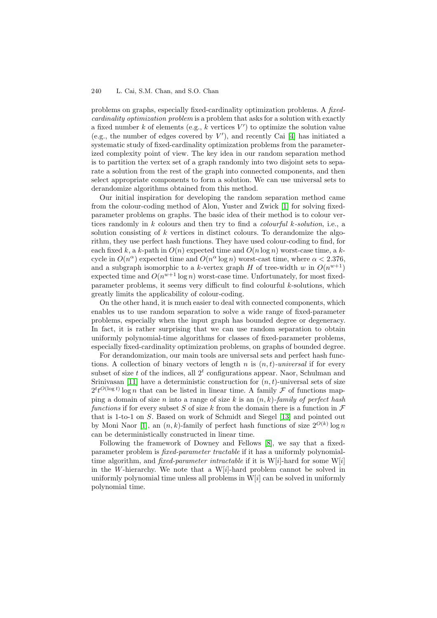problems on graphs, especially fixed-cardinality optimization problems. A fixedcardinality optimization problem is a problem that asks for a solution with exactly a fixed number  $k$  of elements (e.g.,  $k$  vertices  $V'$ ) to optimize the solution value (e.g., the number of edges covered by  $V'$ ), and recently Cai [4] has initiated a systematic study of fixed-cardinality optimization problems from the parameterized complexity point of view. The key idea in our random separation method is to partition the vertex set of a graph randomly into two disjoint sets to separate a solution from the rest of the graph into connected com[po](#page-11-6)nents, and then select appropriate components to form a solution. We can use universal sets to derandomize algorithms obtained from this method.

Our initial inspiration for developing the random separation method came from the colour-coding method of Alon, Yuster and Zwick [1] for solving fixedparameter problems on graphs. The basic idea of their method is to colour vertices randomly in k colours and then try to find a *colourful k-solution*, i.e., a solution consisting of k vertices in distinct colours. To derandomize the algorithm, they use perfect hash functions. They have used colo[ur-](#page-11-7)coding to find, for each fixed k, a k-path in  $O(n)$  expected time and  $O(n \log n)$  worst-case time, a kcycle in  $O(n^{\alpha})$  expected time and  $O(n^{\alpha} \log n)$  worst-cast time, where  $\alpha < 2.376$ , and a subgraph isomorphic to a k-vertex graph H of tree-width w in  $O(n^{w+1})$ expected time and  $O(n^{w+1} \log n)$  worst-case time. Unfortunately, for most fixedparameter problems, it seems very difficult to find colourful k-solutions, which greatly limits the applicability of colour-coding.

On the other hand, it is much easier to deal with connected components, which enables us to use random separation to solve a wide range of fixed-parameter problems, especially when the input graph has bounded degree or degeneracy. In fact, it is rather surprising that we can use random separation to obtain uniformly polynomial-time algorithms for classes of fixed-parameter problems, especially fixed-cardinality optimization problems, on graphs of bounded degree.

For derandomization, our main tools are universal sets and perfect hash functions. A collection of binary vectors of length n is  $(n,t)$ -universal if for every subset of size t of the indices, all  $2<sup>t</sup>$  configurations appear. Naor, Schulman and Srinivasan [11] have a deterministic construction for  $(n,t)$ -universal sets of size  $2<sup>t</sup> t<sup>O(log t)</sup>$  log n that can be listed in linear time. A family  $\mathcal F$  of functions mapping a domain of size n into a range of size k is an  $(n, k)$ -family of perfect hash functions if for every subset S of size k from the domain there is a function in  $\mathcal F$ that is 1-to[-1 o](#page-11-8)n S. Based on work of Schmidt and Siegel [13] and pointed out by Moni Naor [1], an  $(n, k)$ -family of perfect hash functions of size  $2^{O(k)} \log n$ can be deterministically constructed in linear time.

Following the framework of Downey and Fellows [8], we say that a fixedparameter problem is *fixed-parameter tractable* if it has a u[nifo](#page-11-9)rmly polynomial-time algorithm[, a](#page-11-7)nd *fixed-parameter intractable* if it is  $W[i]$ -hard for some  $W[i]$ in the W-hierarchy. We note that a  $W[i]$ -hard problem cannot be solved in uniformly polynomial time unless all problems in  $W[i]$  [can](#page-11-5) be solved in uniformly polynomial time.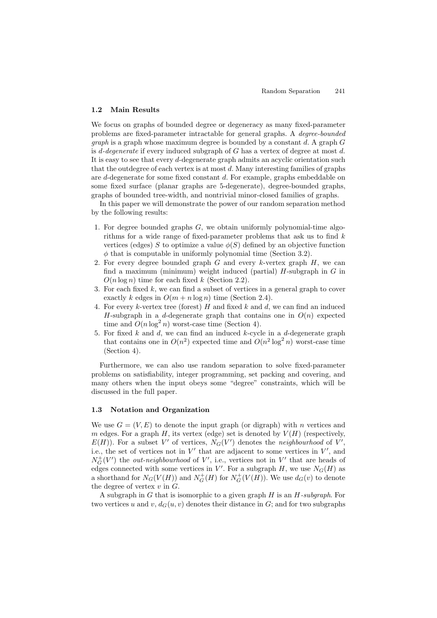#### **1.2 Main Results**

We focus on graphs of bounded degree or degeneracy as many fixed-parameter problems are fixed-parameter intractable for general graphs. A degree-bounded *graph* is a graph whose maximum degree is bounded by a constant d. A graph  $G$ is d-degenerate if every induced subgraph of  $G$  has a vertex of degree at most  $d$ . It is easy to see that every d-degenerate graph admits an acyclic orientation such that the outdegree of each vertex is at most d. Many interesting families of graphs are d-degenerate for some fixed constant d. For example, graphs embeddable on some fixed surface (planar graphs are 5-degenerate), degree-bounded graphs, graphs of bounded tree-width, and nontrivial minor-closed families of graphs.

In this paper we will demonstrate the power of our random separation method by the following results:

- 1. For degree bounded graphs G, we obtain uniformly polynomial-time algorithms for a wide range of fixed-parameter problems that ask us to find  $k$ vertices (edges) S to optimize a value  $\phi(S)$  defined by an objective function  $\phi$  that is computable in uniformly polynomial time (Section 3.2).
- 2. For every degree bounded graph  $G$  and every k-vertex graph  $H$ , we can find a maximum (minimum) weight induced (partial)  $H$ -subgraph in  $G$  in  $O(n \log n)$  time for each fixed k (Section 2.2).
- 3. For each fixed  $k$ , we can find a subset of vertices in a general graph to cover exactly k edges in  $O(m + n \log n)$  time (Section 2.4).
- 4. For every k-vertex tree (forest) H and fixed k and d, we can find an induced H-subgraph in a d-degenerate graph that contains one in  $O(n)$  expected time and  $O(n \log^2 n)$  worst-case time (Section 4).
- 5. For fixed k and d, we can find an induced k-cycle in a d-degenerate graph that contains one in  $O(n^2)$  expected time and  $O(n^2 \log^2 n)$  worst-case time (Section 4).

Furthermore, we can also use random separation to solve fixed-parameter problems on satisfiability, integer programming, set packing and covering, and many others when the input obeys some "degree" constraints, which will be discussed in the full paper.

### **1.3 Notation and Organization**

We use  $G = (V, E)$  to denote the input graph (or digraph) with n vertices and m edges. For a graph H, its vertex (edge) set is denoted by  $V(H)$  (respectively,  $E(H)$ ). For a subset V' of vertices,  $N_G(V')$  denotes the neighbourhood of V', i.e., the set of vertices not in  $V'$  that are adjacent to some vertices in  $V'$ , and  $N_G^+(V')$  the *out-neighbourhood* of V', i.e., vertices not in V' that are heads of edges connected with some vertices in  $V'$ . For a subgraph H, we use  $N_G(H)$  as a shorthand for  $N_G(V(H))$  and  $N_G^+(H)$  for  $N_G^+(V(H))$ . We use  $d_G(v)$  to denote the degree of vertex  $v$  in  $G$ .

A subgraph in  $G$  that is isomorphic to a given graph  $H$  is an  $H$ -subgraph. For two vertices u and v,  $d_G(u, v)$  denotes their distance in G; and for two subgraphs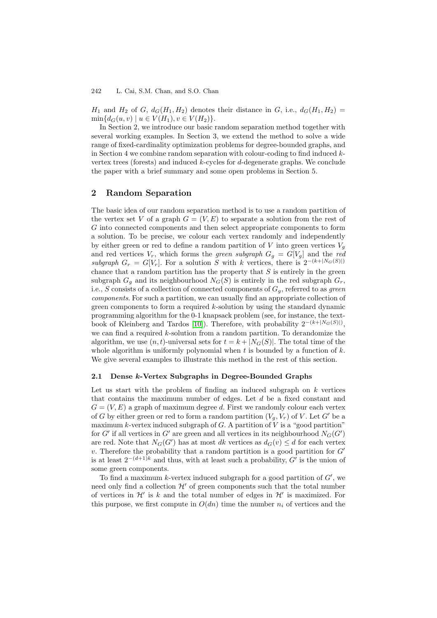$H_1$  and  $H_2$  of G,  $d_G(H_1, H_2)$  denotes their distance in G, i.e.,  $d_G(H_1, H_2)$  =  $\min\{d_G(u,v) \mid u \in V(H_1), v \in V(H_2)\}.$ 

In Section 2, we introduce our basic random separation method together with several working examples. In Section 3, we extend the method to solve a wide range of fixed-cardinality optimization problems for degree-bounded graphs, and in Section 4 we combine random separation with colour-coding to find induced  $k$ vertex trees (forests) and induced  $k$ -cycles for  $d$ -degenerate graphs. We conclude the paper with a brief summary and some open problems in Section 5.

# **2 Random Separation**

The basic idea of our random separation method is to use a random partition of the vertex set V of a graph  $G = (V, E)$  to separate a solution from the rest of G into connected components and then select appropriate components to form a solution. To be precise, we colour each vertex randomly and independently by either green or red to define a random partition of V into green vertices  $V_q$ and red vertices  $V_r$ , which forms the green subgraph  $G_g = G[V_g]$  and the red subgraph  $G_r = G[V_r]$ . For a solution S with k vertices, there is  $2^{-(k+|N_G(S)|)}$ chance that a random partition has the property that  $S$  is entirely in the green subgraph  $G_g$  and its neighbourhood  $N_G(S)$  is entirely in the red subgraph  $G_r$ , i.e., S consists of a collection of connected components of  $G<sub>g</sub>$ , referred to as green components. For such a partition, we can usually find an appropriate collection of green components to form a required  $k$ -solution by using the standard dynamic programming algorithm for the 0-1 knapsack problem (see, for instance, the textbook of Kleinberg and Tardos [10]). Therefore, with probability  $2^{-(k+|N_G(S)|)}$ , we can find a required  $k$ -solution from a random partition. To derandomize the algorithm, we use  $(n, t)$ -universal sets for  $t = k + |N_G(S)|$ . The total time of the whole algorithm is uniformly polynomial when  $t$  is bounded by a function of  $k$ . We give several examples to ill[ustr](#page-11-10)ate this method in the rest of this section.

### **2.1 Dense** *k***-Vertex Subgraphs in Degree-Bounded Graphs**

Let us start with the problem of finding an induced subgraph on  $k$  vertices that contains the maximum number of edges. Let d be a fixed constant and  $G = (V, E)$  a graph of maximum degree d. First we randomly colour each vertex of G by either green or red to form a random partition  $(V_g, V_r)$  of V. Let G' be a maximum  $k$ -vertex induced subgraph of  $G$ . A partition of  $V$  is a "good partition" for  $G'$  if all vertices in  $G'$  are green and all vertices in its neighbourhood  $N_G(G')$ are red. Note that  $N_G(G')$  has at most dk vertices as  $d_G(v) \leq d$  for each vertex  $v$ . Therefore the probability that a random partition is a good partition for  $G'$ is at least  $2^{-(d+1)k}$  and thus, with at least such a probability, G' is the union of some green components.

To find a maximum  $k$ -vertex induced subgraph for a good partition of  $G'$ , we need only find a collection  $\mathcal{H}'$  of green components such that the total number of vertices in  $\mathcal{H}'$  is k and the total number of edges in  $\mathcal{H}'$  is maximized. For this purpose, we first compute in  $O(dn)$  time the number  $n_i$  of vertices and the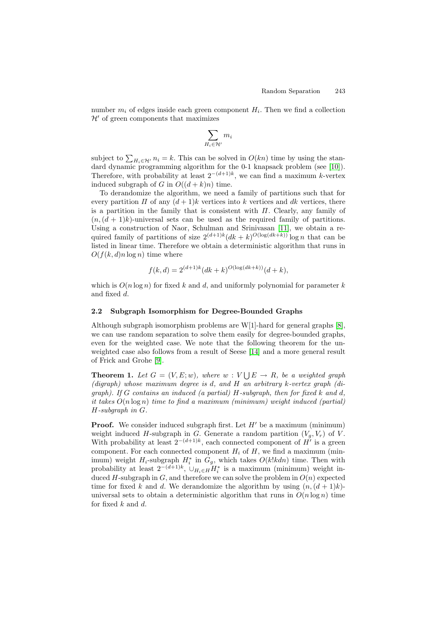number  $m_i$  of edges inside each green component  $H_i$ . Then we find a collection  $\mathcal{H}'$  of green components that maximizes

$$
\sum_{H_i \in \mathcal{H}'} m_i
$$

subject to  $\sum_{H_i \in \mathcal{H}'} n_i = k$ . This can be solved in  $O(kn)$  time by using the standard dynamic programming algorithm for the 0-1 knapsack problem (see [10]). Therefore, with probability at least  $2^{-(d+1)k}$ , we can find a maximum k-vertex induced subgraph of G in  $O((d + k)n)$  time.

To derandomize the algorithm, we need a family of partitions such that for every partition  $\Pi$  of any  $(d+1)k$  vertices into k vertices and dk vertices, [ther](#page-11-10)e is a partition in the family that is consistent with  $\Pi$ . Clearly, any family of  $(n,(d+1)k)$ -universal sets can be used as the required family of partitions. Using a construction of Naor, Schulman and Srinivasan [11], we obtain a required family of partitions of size  $2^{(d+1)k}(dk + k)^{O(\log(dk+k))} \log n$  that can be listed in linear time. Therefore we obtain a deterministic algorithm that runs in  $O(f(k,d)n \log n)$  time where

$$
f(k,d) = 2^{(d+1)k} (dk+k)^{O(\log(dk+k))} (d+k),
$$

which is  $O(n \log n)$  for fixed k and d, and uniformly polynomial for parameter k and fixed d.

#### **2.2 Subgraph Isomorphism for Degree-Bounded Graphs**

Although subgraph isomorphism problems are W[1]-hard for general graphs [8], we can use random separation to solve them easily for degree-bounded graphs, even for the weighted case. We note that the following theorem for the unweighted case also follows from a result of Seese [14] and a more general result of Frick and Grohe [9].

**Theorem 1.** Let  $G = (V, E; w)$ , where  $w : V \cup E \rightarrow R$ , be a weighted graph (digraph) whose maximum degree is d, and H a[n ar](#page-11-11)bitrary k-vertex graph (digraph). If G contain[s](#page-11-12) an induced (a partial)  $H$ -subgraph, then for fixed k and d, it takes  $O(n \log n)$  time to find a maximum (minimum) weight induced (partial) H-subgraph in G.

**Proof.** We consider induced subgraph first. Let  $H'$  be a maximum (minimum) weight induced H-subgraph in G. Generate a random partition  $(V_g, V_r)$  of V. With probability at least  $2^{-(d+1)k}$ , each connected component of  $H'$  is a green component. For each connected component  $H_i$  of  $H$ , we find a maximum (minimum) weight  $H_i$ -subgraph  $H_i^*$  in  $G_g$ , which takes  $O(k!kdn)$  time. Then with probability at least  $2^{-(d+1)k}$ ,  $\cup_{H_i \in H} H_i^*$  is a maximum (minimum) weight induced H-subgraph in G, and therefore we can solve the problem in  $O(n)$  expected time for fixed k and d. We derandomize the algorithm by using  $(n,(d+1)k)$ universal sets to obtain a deterministic algorithm that runs in  $O(n \log n)$  time for fixed  $k$  and  $d$ .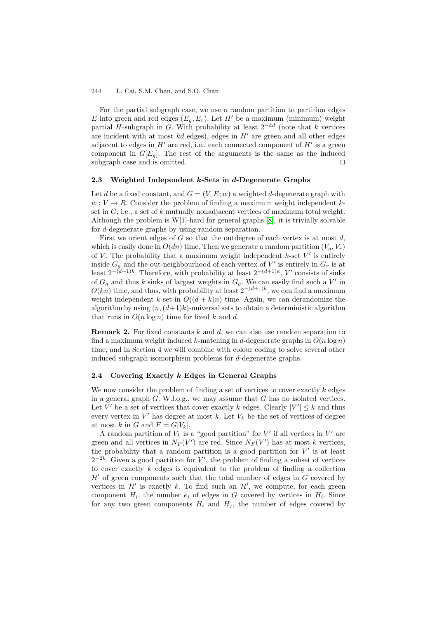For the partial subgraph case, we use a random partition to partition edges E into green and red edges  $(E_g, E_r)$ . Let H' be a maximum (minimum) weight partial H-subgraph in G. With probability at least  $2^{-kd}$  (note that k vertices are incident with at most  $kd$  edges), edges in  $H'$  are green and all other edges adjacent to edges in  $H'$  are red, i.e., each connected component of  $H'$  is a green component in  $G[E_q]$ . The rest of the arguments is the same as the induced subgraph case and is omitted.

#### **2.3 Weighted Independent** *k***-Sets in** *d***-Degenerate Graphs**

Let d be a fixed constant, and  $G = (V, E; w)$  a weighted d-degenerate graph with  $w: V \to R$ . Consider the problem of finding a maximum weight independent kset in  $G$ , i.e., a set of k mutually nonadjacent vertices of maximum total weight. Although the problem is W[1]-hard for general graphs  $[8]$ , it is trivially solvable for d-degenerate graphs by using random separation.

First we orient edges of  $G$  so that the outdegree of each vertex is at most  $d$ , which is easily done in  $O(dn)$  time. Then we generate a random partition  $(V_q, V_r)$ of V. The probability that a maximum weight i[nde](#page-11-5)pendent  $k$ -set  $V'$  is entirely inside  $G_g$  and the out-neighbourhood of each vertex of V' is entirely in  $G_r$  is at least  $2^{-(d+1)k}$ . Therefore, with probability at least  $2^{-(d+1)k}$ , V' consists of sinks of  $G_g$  and thus k sinks of largest weights in  $G_g$ . We can easily find such a V' in  $O(kn)$  time, and thus, with probability at least  $2^{-(d+1)k}$ , we can find a maximum weight independent k-set in  $O((d + k)n)$  time. Again, we can derandomize the algorithm by using  $(n,(d+1)k)$ -universal sets to obtain a deterministic algorithm that runs in  $O(n \log n)$  time for fixed k and d.

**Remark 2.** For fixed constants k and d, we can also use random separation to find a maximum weight induced k-matching in d-degenerate graphs in  $O(n \log n)$ time, and in Section 4 we will combine with colour coding to solve several other induced subgraph isomorphism problems for d-degenerate graphs.

### **2.4 Covering Exactly** *k* **Edges in General Graphs**

We now consider the problem of finding a set of vertices to cover exactly  $k$  edges in a general graph  $G$ . W.l.o.g., we may assume that  $G$  has no isolated vertices. Let V' be a set of vertices that cover exactly k edges. Clearly  $|V'| \leq k$  and thus every vertex in  $V'$  has degree at most k. Let  $V_k$  be the set of vertices of degree at most k in G and  $F = G[V_k]$ .

A random partition of  $V_k$  is a "good partition" for  $V'$  if all vertices in  $V'$  are green and all vertices in  $N_F(V')$  are red. Since  $N_F(V')$  has at most k vertices, the probability that a random partition is a good partition for  $V'$  is at least  $2^{-2k}$ . Given a good partition for V', the problem of finding a subset of vertices to cover exactly  $k$  edges is equivalent to the problem of finding a collection  $\mathcal{H}'$  of green components such that the total number of edges in G covered by vertices in  $\mathcal{H}'$  is exactly k. To find such an  $\mathcal{H}'$ , we compute, for each green component  $H_i$ , the number  $e_i$  of edges in G covered by vertices in  $H_i$ . Since for any two green components  $H_i$  and  $H_j$ , the number of edges covered by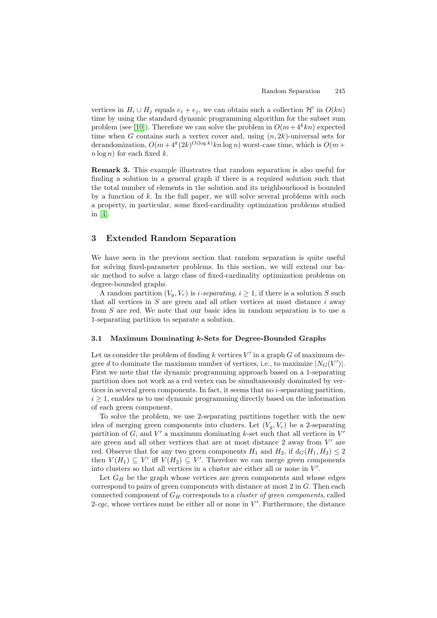vertices in  $H_i \cup H_j$  equals  $e_i + e_j$ , we can obtain such a collection  $\mathcal{H}'$  in  $O(kn)$ time by using the standard dynamic programming algorithm for the subset sum problem (see [10]). Therefore we can solve the problem in  $O(m+4^k kn)$  expected time when G contains such a vertex cover and, using  $(n, 2k)$ -universal sets for derandomization,  $O(m+4^k(2k)^{O(\log k)}kn \log n)$  worst-case time, which is  $O(m+n)$  $n \log n$  for each fixed k.

**Remark 3.** [Thi](#page-11-10)s example illustrates that random separation is also useful for finding a solution in a general graph if there is a required solution such that the total number of elements in the solution and its neighbourhood is bounded by a function of  $k$ . In the full paper, we will solve several problems with such a property, in particular, some fixed-cardinality optimization problems studied in [4].

# **3 Extended Random Separation**

We have seen in the previous section that random separation is quite useful for solving fixed-parameter problems. In this section, we will extend our basic method to solve a large class of fixed-cardinality optimization problems on degree-bounded graphs.

A random partition  $(V_q, V_r)$  is *i-separating*,  $i \geq 1$ , if there is a solution S such that all vertices in  $S$  are green and all other vertices at most distance i away from S are red. We note that our basic idea in random separation is to use a 1-separating partition to separate a solution.

### **3.1 Maximum Dominating** *k***-Sets for Degree-Bounded Graphs**

Let us consider the problem of finding k vertices  $V'$  in a graph G of maximum degree d to dominate the maximum number of vertices, i.e., to maximize  $|N_G(V')|$ . First we note that the dynamic programming approach based on a 1-separating partition does not work as a red vertex can be simultaneously dominated by vertices in several green components. In fact, it seems that no *i*-separating partition,  $i \geq 1$ , enables us to use dynamic programming directly based on the information of each green component.

To solve the problem, we use 2-separating partitions together with the new idea of merging green components into clusters. Let  $(V_q, V_r)$  be a 2-separating partition of G, and V' a maximum dominating k-set such that all vertices in  $V'$ are green and all other vertices that are at most distance  $2$  away from  $V'$  are red. Observe that for any two green components  $H_1$  and  $H_2$ , if  $d_G(H_1, H_2) \leq 2$ then  $V(H_1) \subseteq V'$  iff  $V(H_2) \subseteq V'$ . Therefore we can merge green components into clusters so that all vertices in a cluster are either all or none in  $V'$ .

Let  $G_H$  be the graph whose vertices are green components and whose edges correspond to pairs of green components with distance at most  $2$  in  $G$ . Then each connected component of  $G_H$  corresponds to a *cluster of green components*, called 2-cgc, whose vertices must be either all or none in  $V'$ . Furthermore, the distance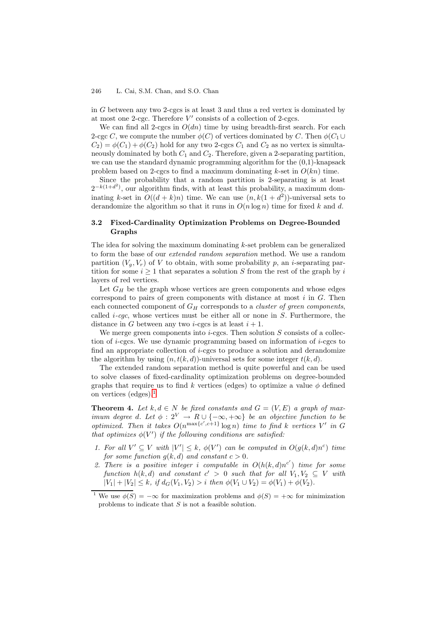in G between any two 2-cgcs is at least 3 and thus a red vertex is dominated by at most one 2-cgc. Therefore  $V^\prime$  consists of a collection of 2-cgcs.

We can find all 2-cgcs in  $O(dn)$  time by using breadth-first search. For each 2-cgc C, we compute the number  $\phi(C)$  of vertices dominated by C. Then  $\phi(C_1 \cup$  $C_2$  =  $\phi$ ( $C_1$ ) +  $\phi$ ( $C_2$ ) hold for any two 2-cgcs  $C_1$  and  $C_2$  as no vertex is simultaneously dominated by both  $C_1$  and  $C_2$ . Therefore, given a 2-separating partition, we can use the standard dynamic programming algorithm for the (0,1)-knapsack problem based on 2-cgcs to find a maximum dominating k-set in  $O(kn)$  time.

Since the probability that a random partition is 2-separating is at least  $2^{-k(1+d^2)}$ , our algorithm finds, with at least this probability, a maximum dominating k-set in  $O((d + k)n)$  time. We can use  $(n, k(1 + d^2))$ -universal sets to derandomize the algorithm so that it runs in  $O(n \log n)$  time for fixed k and d.

## **3.2 Fixed-Cardinality Optimization Problems on Degree-Bounded Graphs**

The idea for solving the maximum dominating  $k$ -set problem can be generalized to form the base of our extended random separation method. We use a random partition  $(V_q, V_r)$  of V to obtain, with some probability p, an *i*-separating partition for some  $i \geq 1$  that separates a solution S from the rest of the graph by i layers of red vertices.

Let  $G_H$  be the graph whose vertices are green components and whose edges correspond to pairs of green components with distance at most  $i$  in  $G$ . Then each connected component of  $G_H$  corresponds to a *cluster of green components*, called  $i$ -cgc, whose vertices must be either all or none in S. Furthermore, the distance in G between any two *i*-cgcs is at least  $i + 1$ .

We merge green components into  $i$ -cgcs. Then solution  $S$  consists of a collection of *i*-cgcs. We use dynamic programming based on information of *i*-cgcs to find an appropriate collection of  $i$ -cgcs to produce a solution and derandomize the algorithm by using  $(n, t(k, d))$ -universal sets for some integer  $t(k, d)$ .

The extended random separation method is quite powerful and can be used to solve classes of fixed-cardinality optimization problems on degree-bounded graphs that require us to find k vertices (edges) to optimize a value  $\phi$  defined on vertices (edges).<sup>1</sup>

**Theorem 4.** Let  $k, d \in N$  be fixed constants and  $G = (V, E)$  a graph of maximum degree d. Let  $\phi: 2^V \to R \cup \{-\infty, +\infty\}$  be an objective function to be optimized. Then it [t](#page-7-0)akes  $O(n^{\max\{c', c+1\}} \log n)$  time to find k vertices V' in G that optimizes  $\phi(V')$  if the following conditions are satisfied:

- <span id="page-7-1"></span>1. For all  $V' \subseteq V$  with  $|V'| \leq k$ ,  $\phi(V')$  can be computed in  $O(g(k,d)n^c)$  time for some function  $g(k,d)$  and constant  $c > 0$ .
- 2. There is a positive integer i computable in  $O(h(k,d)n^{c'})$  time for some function  $h(k, d)$  and constant  $c' > 0$  such that for all  $V_1, V_2 \subseteq V$  with  $|V_1| + |V_2| \leq k$ , if  $d_G(V_1, V_2) > i$  then  $\phi(V_1 \cup V_2) = \phi(V_1) + \phi(V_2)$ .

<span id="page-7-0"></span><sup>&</sup>lt;sup>1</sup> We use  $\phi(S) = -\infty$  for maximization problems and  $\phi(S) = +\infty$  for minimization problems to indicate that  $S$  is not a feasible solution.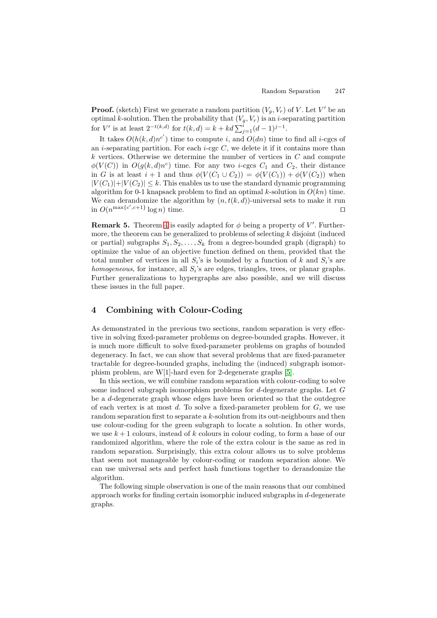**Proof.** (sketch) First we generate a random partition  $(V_a, V_r)$  of V. Let V' be an optimal k-solution. Then the probability that  $(V_g, V_r)$  is an *i*-separating partition for V' is at least  $2^{-t(k,d)}$  for  $t(k,d) = k + kd \sum_{j=1}^{i} (d-1)^{j-1}$ .

It takes  $O(h(k, d)n^{c'})$  time to compute i, and  $O(dn)$  time to find all i-cgcs of an *i*-separating partition. For each *i*-cgc  $C$ , we delete it if it contains more than  $k$  vertices. Otherwise we determine the number of vertices in  $C$  and compute  $\phi(V(C))$  in  $O(g(k,d)n^c)$  time. For any two *i*-cgcs  $C_1$  and  $C_2$ , their distance in G is at least  $i + 1$  and thus  $\phi(V(C_1 \cup C_2)) = \phi(V(C_1)) + \phi(V(C_2))$  when  $|V(C_1)|+|V(C_2)| \leq k$ . This enables us to use the standard dynamic programming algorithm for 0-1 knapsack problem to find an optimal k-solution in  $O(kn)$  time. We can derandomize the algorithm by  $(n,t(k,d))$ -universal sets to make it run in  $O(n^{\max\{c', c+1\}} \log n)$  time.

**Remark 5.** Theorem 4 is easily adapted for  $\phi$  being a property of  $V'$ . Furthermore, the theorem can be generalized to problems of selecting  $k$  disjoint (induced or partial) subgraphs  $S_1, S_2, \ldots, S_k$  from a degree-bounded graph (digraph) to optimize the value of an objective function defined on them, provided that the total number of vertic[es](#page-7-1) in all  $S_i$ 's is bounded by a function of k and  $S_i$ 's are homogeneous, for instance, all  $S_i$ 's are edges, triangles, trees, or planar graphs. Further generalizations to hypergraphs are also possible, and we will discuss these issues in the full paper.

# **4 Combining with Colour-Coding**

As demonstrated in the previous two sections, random separation is very effective in solving fixed-parameter problems on degree-bounded graphs. However, it is much more difficult to solve fixed-parameter problems on graphs of bounded degeneracy. In fact, we can show that several problems that are fixed-parameter tractable for degree-bounded graphs, including the (induced) subgraph isomorphism problem, are W[1]-hard even for 2-degenerate graphs [5].

In this section, we will combine random separation with colour-coding to solve some induced subgraph isomorphism problems for d-degenerate graphs. Let G be a d-degenerate graph whose edges have been oriented so that the outdegree of each vertex is at most  $d$ . To solve a fixed-parameter pro[ble](#page-11-13)m for  $G$ , we use random separation first to separate a  $k$ -solution from its out-neighbours and then use colour-coding for the green subgraph to locate a solution. In other words, we use  $k+1$  colours, instead of k colours in colour coding, to form a base of our randomized algorithm, where the role of the extra colour is the same as red in random separation. Surprisingly, this extra colour allows us to solve problems that seem not manageable by colour-coding or random separation alone. We can use universal sets and perfect hash functions together to derandomize the algorithm.

The following simple observation is one of the main reasons that our combined approach works for finding certain isomorphic induced subgraphs in d-degenerate graphs.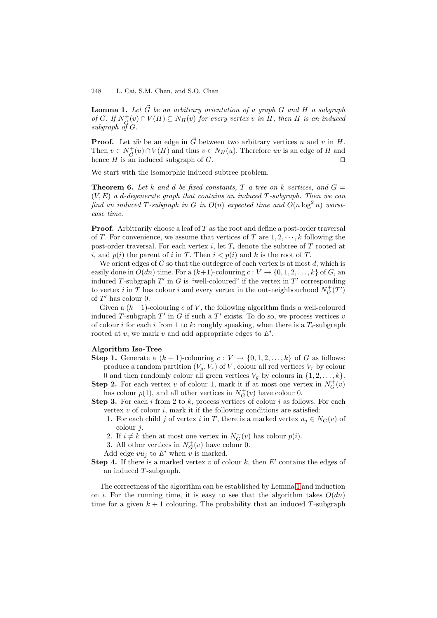**Lemma 1.** Let  $\vec{G}$  be an arbitrary orientation of a graph G and H a subgraph of G. If  $N_{\vec{G}}^+(v) \cap V(H) \subseteq N_H(v)$  for every vertex v in H, then H is an induced subgraph of G.

**Proof.** Let  $\vec{uv}$  be an edge in  $\vec{G}$  between two arbitrary vertices u and v in H. Then  $v \in N^+_{\vec{G}}(u) \cap V(H)$  and thus  $v \in N_H(u)$ . Therefore uv is an edge of H and hence  $H$  is an induced subgraph of  $G$ .

We start with the isomorphic induced subtree problem.

**Theorem 6.** Let k and d be fixed constants, T a tree on k vertices, and  $G =$  $(V, E)$  a d-degenerate graph that contains an induced T-subgraph. Then we can find an induced T-subgraph in G in  $O(n)$  expected time and  $O(n \log^2 n)$  worstcase time.

<span id="page-9-0"></span>**Proof.** Arbitrarily choose a leaf of T as the root and define a post-order traversal of T. For convenience, we assume that vertices of T are  $1, 2, \dots, k$  following the post-order traversal. For each vertex i, let  $T_i$  denote the subtree of T rooted at i, and  $p(i)$  the parent of i in T. Then  $i < p(i)$  and k is the root of T.

We orient edges of  $G$  so that the outdegree of each vertex is at most  $d$ , which is easily done in  $O(dn)$  time. For a  $(k+1)$ -colouring  $c: V \to \{0, 1, 2, \ldots, k\}$  of G, an induced T-subgraph  $T'$  in G is "well-coloured" if the vertex in  $T'$  corresponding to vertex *i* in  $T$  has colour *i* and every vertex in the out-neighbourhood  $N_G^+(T)$ of  $T'$  has colour 0.

Given a  $(k+1)$ -colouring c of V, the following algorithm finds a well-coloured induced T-subgraph  $T'$  in G if such a  $T'$  exists. To do so, we process vertices v of colour i for each i from 1 to k: roughly speaking, when there is a  $T_i$ -subgraph rooted at  $v$ , we mark  $v$  and add appropriate edges to  $E'$ .

#### **Algorithm Iso-Tree**

- **Step 1.** Generate a  $(k + 1)$ -colouring  $c: V \to \{0, 1, 2, \ldots, k\}$  of G as follows: produce a random partition  $(V_g, V_r)$  of V, colour all red vertices  $V_r$  by colour 0 and then randomly colour all green vertices  $V_g$  by colours in  $\{1, 2, \ldots, k\}$ .
- **Step 2.** For each vertex v of colour 1, mark it if at most one vertex in  $N_G^+(v)$ has colour  $p(1)$ , and all other vertices in  $N_G^+(v)$  have colour 0.
- **Step 3.** For each i from 2 to k, process vertices of colour i as follows. For each vertex  $v$  of colour  $i$ , mark it if the following conditions are satisfied:
	- 1. For each child j of vertex i in T, there is a marked vertex  $u_j \in N_G(v)$  of colour j.
	- 2. If  $i \neq k$  then at most one vertex in  $N_G^+(v)$  has colour  $p(i)$ .
	- 3. All other vertices in  $N_G^+(v)$  have colour 0.
	- Add edge  $vu_i$  to E' when v is marked.
- **Step 4.** If there is a marked vertex v of colour  $k$ , then  $E'$  contains the edges of an induced T-subgraph.

The correctness of the algorithm can be established by Lemma 1 and induction on i. For the running time, it is easy to see that the algorithm takes  $O(dn)$ time for a given  $k+1$  colouring. The probability that an induced T-subgraph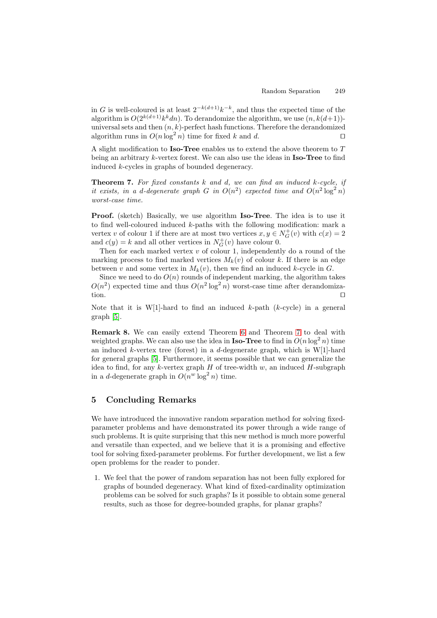in G is well-coloured is at least  $2^{-k(d+1)}k^{-k}$ , and thus the expected time of the algorithm is  $O(2^{k(d+1)}k^k dn)$ . To derandomize the algorithm, we use  $(n, k(d+1))$ universal sets and then  $(n, k)$ -perfect hash functions. Therefore the derandomized algorithm runs in  $O(n \log^2 n)$  time for fixed k and d.

A slight modification to **Iso-Tree** enables us to extend the above theorem to T being an arbitrary k-vertex forest. We can also use the ideas in **Iso-Tree** to find induced k-cycles in graphs of bounded degeneracy.

**Theorem 7.** For fixed constants  $k$  and  $d$ , we can find an induced  $k$ -cycle, if it exists, in a d-degenerate graph G in  $O(n^2)$  expected time and  $O(n^2 \log^2 n)$ worst-case time.

<span id="page-10-0"></span>**Proof.** (sketch) Basically, we use algorithm **Iso-Tree**. The idea is to use it to find well-coloured induced k-paths with the following modification: mark a vertex v of colour 1 if there are at most two vertices  $x, y \in N_G^+(v)$  with  $c(x) = 2$ and  $c(y) = k$  and all other vertices in  $N_G^+(v)$  have colour 0.

Then for each marked vertex  $v$  of colour 1, independently do a round of the marking process to find marked vertices  $M_k(v)$  of colour k. If there is an edge between v and some vertex in  $M_k(v)$ , then we find an induced k-cycle in G.

Since we need to do  $O(n)$  rounds of independent marking, the algorithm takes  $O(n^2)$  expected time and thus  $O(n^2 \log^2 n)$  worst-case time after derandomization.

Note that it is W[1]-hard to find an induced k-path  $(k$ -cycle) in a general graph [5].

**Remark 8.** We can easily extend Theorem 6 and Theorem 7 to deal with weighted graphs. We can also use the idea in **Iso-Tree** to find in  $O(n \log^2 n)$  time an ind[uc](#page-11-13)ed k-vertex tree (forest) in a d-degenerate graph, which is  $W[1]$ -hard for general graphs [5]. Furthermore, it seems possible that we can generalize the idea to find, for any k-vertex graph  $H$  of tree-[wi](#page-9-0)dth  $w$ , an indu[ced](#page-10-0)  $H$ -subgraph in a *d*-degenerate graph in  $O(n^w \log^2 n)$  time.

# **5 Concludin[g](#page-11-13) Remarks**

We have introduced the innovative random separation method for solving fixedparameter problems and have demonstrated its power through a wide range of such problems. It is quite surprising that this new method is much more powerful and versatile than expected, and we believe that it is a promising and effective tool for solving fixed-parameter problems. For further development, we list a few open problems for the reader to ponder.

1. We feel that the power of random separation has not been fully explored for graphs of bounded degeneracy. What kind of fixed-cardinality optimization problems can be solved for such graphs? Is it possible to obtain some general results, such as those for degree-bounded graphs, for planar graphs?